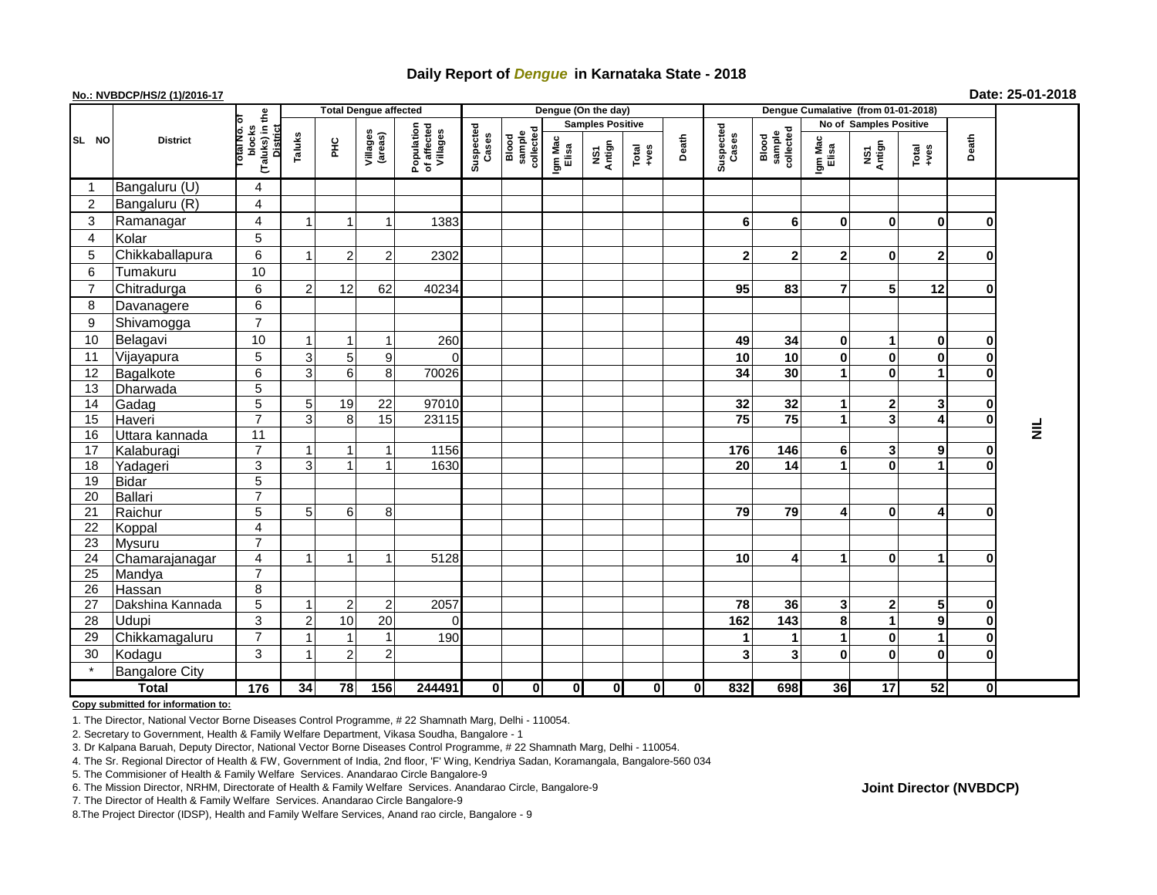# **Daily Report of** *Dengue* **in Karnataka State - 2018**

## **No.: NVBDCP/HS/2 (1)/2016-17 Date: 25-01-2018**

|                |                       |                                                   | <b>Total Dengue affected</b> |                |                     |                                       |                    |                              |                  | Dengue (On the day)     |                                                              |             |                    |                              |                  |                         |                                                              |              |           |
|----------------|-----------------------|---------------------------------------------------|------------------------------|----------------|---------------------|---------------------------------------|--------------------|------------------------------|------------------|-------------------------|--------------------------------------------------------------|-------------|--------------------|------------------------------|------------------|-------------------------|--------------------------------------------------------------|--------------|-----------|
|                |                       |                                                   |                              |                |                     |                                       |                    |                              |                  | <b>Samples Positive</b> |                                                              |             |                    |                              |                  | No of Samples Positive  |                                                              |              |           |
| SL NO          | <b>District</b>       | (Taluks) in the<br>blocks<br>District<br>otal No. | Taluks                       | 노<br>도         | Villages<br>(areas) | Population<br>of affected<br>Villages | Suspected<br>Cases | Blood<br>sample<br>collected | Igm Mac<br>Elisa | NS1<br>Antign           | $\begin{array}{c}\n\text{Total} \\ \text{14.4}\n\end{array}$ | Death       | Suspected<br>Cases | sample<br>collected<br>Blood | Igm Mac<br>Elisa | NS1<br>Antign           | $\begin{array}{c}\n\text{Total} \\ \text{Area}\n\end{array}$ | Death        |           |
| -1             | Bangaluru (U)         | $\overline{4}$                                    |                              |                |                     |                                       |                    |                              |                  |                         |                                                              |             |                    |                              |                  |                         |                                                              |              |           |
| $\overline{2}$ | Bangaluru (R)         | $\overline{\mathbf{4}}$                           |                              |                |                     |                                       |                    |                              |                  |                         |                                                              |             |                    |                              |                  |                         |                                                              |              |           |
| 3              | Ramanagar             | $\overline{\mathbf{4}}$                           |                              |                | -1                  | 1383                                  |                    |                              |                  |                         |                                                              |             | 6                  | 6                            | $\mathbf{0}$     | $\bf{0}$                | $\mathbf 0$                                                  | $\bf{0}$     |           |
| $\overline{4}$ | Kolar                 | $\overline{5}$                                    |                              |                |                     |                                       |                    |                              |                  |                         |                                                              |             |                    |                              |                  |                         |                                                              |              |           |
| 5              | Chikkaballapura       | 6                                                 |                              | $\overline{2}$ | $\overline{2}$      | 2302                                  |                    |                              |                  |                         |                                                              |             | $\mathbf{2}$       | $\overline{2}$               | $\mathbf{2}$     | 0                       | $\mathbf{2}$                                                 | 0            |           |
| 6              | Tumakuru              | 10                                                |                              |                |                     |                                       |                    |                              |                  |                         |                                                              |             |                    |                              |                  |                         |                                                              |              |           |
| $\overline{7}$ | Chitradurga           | 6                                                 | $\mathcal{P}$                | 12             | 62                  | 40234                                 |                    |                              |                  |                         |                                                              |             | 95                 | 83                           | $\overline{7}$   | 5                       | 12                                                           | $\bf{0}$     |           |
| 8              | Davanagere            | 6                                                 |                              |                |                     |                                       |                    |                              |                  |                         |                                                              |             |                    |                              |                  |                         |                                                              |              |           |
| 9              | Shivamogga            | $\overline{7}$                                    |                              |                |                     |                                       |                    |                              |                  |                         |                                                              |             |                    |                              |                  |                         |                                                              |              |           |
| 10             | Belagavi              | 10                                                |                              |                |                     | 260                                   |                    |                              |                  |                         |                                                              |             | 49                 | 34                           | $\mathbf{0}$     | 1                       | $\mathbf 0$                                                  | 0            |           |
| 11             | Vijayapura            | 5                                                 | 3                            | 5              | 9                   | $\Omega$                              |                    |                              |                  |                         |                                                              |             | 10                 | 10                           | $\bf{0}$         | 0                       | $\bf{0}$                                                     | $\mathbf 0$  |           |
| 12             | Bagalkote             | $6\overline{6}$                                   | 3                            | 6 <sup>1</sup> | 8                   | 70026                                 |                    |                              |                  |                         |                                                              |             | 34                 | $\overline{30}$              |                  | $\mathbf{0}$            | 1                                                            | $\bf{0}$     |           |
| 13             | Dharwada              | $\overline{5}$                                    |                              |                |                     |                                       |                    |                              |                  |                         |                                                              |             |                    |                              |                  |                         |                                                              |              |           |
| 14             | Gadag                 | $\overline{5}$                                    | 5                            | 19             | $\overline{22}$     | 97010                                 |                    |                              |                  |                         |                                                              |             | 32                 | $\overline{32}$              |                  | 2                       | 3                                                            | $\bf{0}$     |           |
| 15             | Haveri                | $\overline{7}$                                    | 3                            | 8              | 15                  | 23115                                 |                    |                              |                  |                         |                                                              |             | 75                 | 75                           |                  | $\overline{\mathbf{3}}$ | $\overline{\mathbf{4}}$                                      | $\mathbf 0$  |           |
| 16             | Uttara kannada        | $\overline{11}$                                   |                              |                |                     |                                       |                    |                              |                  |                         |                                                              |             |                    |                              |                  |                         |                                                              |              | $\bar{z}$ |
| 17             | Kalaburagi            | $\overline{7}$                                    |                              |                | -1                  | 1156                                  |                    |                              |                  |                         |                                                              |             | 176                | 146                          | 6                | 3                       | 9                                                            | $\bf{0}$     |           |
| 18             | Yadageri              | 3                                                 | 3                            |                |                     | 1630                                  |                    |                              |                  |                         |                                                              |             | 20                 | 14                           |                  | 0                       | 1                                                            | $\bf{0}$     |           |
| 19             | <b>Bidar</b>          | $\overline{5}$                                    |                              |                |                     |                                       |                    |                              |                  |                         |                                                              |             |                    |                              |                  |                         |                                                              |              |           |
| 20             | Ballari               | $\overline{7}$                                    |                              |                |                     |                                       |                    |                              |                  |                         |                                                              |             |                    |                              |                  |                         |                                                              |              |           |
| 21             | Raichur               | $\overline{5}$                                    | 5                            | $6 \mid$       | 8                   |                                       |                    |                              |                  |                         |                                                              |             | 79                 | 79                           | 4                | 0                       | 4                                                            | $\bf{0}$     |           |
| 22             | Koppal                | $\overline{\mathbf{4}}$                           |                              |                |                     |                                       |                    |                              |                  |                         |                                                              |             |                    |                              |                  |                         |                                                              |              |           |
| 23             | <b>Mysuru</b>         | $\overline{7}$                                    |                              |                |                     |                                       |                    |                              |                  |                         |                                                              |             |                    |                              |                  |                         |                                                              |              |           |
| 24             | Chamarajanagar        | $\overline{4}$                                    |                              | $\mathbf 1$    | -1                  | 5128                                  |                    |                              |                  |                         |                                                              |             | 10                 | 4                            | 1                | 0                       | 1                                                            | 0            |           |
| 25             | Mandya                | $\overline{7}$                                    |                              |                |                     |                                       |                    |                              |                  |                         |                                                              |             |                    |                              |                  |                         |                                                              |              |           |
| 26             | Hassan                | 8                                                 |                              |                |                     |                                       |                    |                              |                  |                         |                                                              |             |                    |                              |                  |                         |                                                              |              |           |
| 27             | Dakshina Kannada      | $\overline{5}$                                    |                              | 2              | $\overline{2}$      | 2057                                  |                    |                              |                  |                         |                                                              |             | 78                 | 36                           | $\mathbf{3}$     | $\mathbf 2$             | 5                                                            | 0            |           |
| 28             | <b>Udupi</b>          | 3                                                 |                              | 10             | 20                  | $\Omega$                              |                    |                              |                  |                         |                                                              |             | 162                | 143                          | 8                | 1                       | $\mathbf{9}$                                                 | $\mathbf 0$  |           |
| 29             | Chikkamagaluru        | $\overline{7}$                                    |                              |                | $\overline{1}$      | 190                                   |                    |                              |                  |                         |                                                              |             | 1                  | 1                            |                  | 0                       | 1                                                            | $\pmb{0}$    |           |
| 30             | Kodagu                | 3                                                 |                              | $\overline{2}$ | $\overline{c}$      |                                       |                    |                              |                  |                         |                                                              |             | 3                  | 3                            | $\bf{0}$         | 0                       | $\mathbf{0}$                                                 | $\mathbf{0}$ |           |
|                | <b>Bangalore City</b> |                                                   |                              |                |                     |                                       |                    |                              |                  |                         |                                                              |             |                    |                              |                  |                         |                                                              |              |           |
| <b>Total</b>   |                       | $\frac{1}{176}$                                   | 34                           | 78             | 156                 | 244491                                | $\mathbf{0}$       | 0                            | 0                | $\mathbf{0}$            | $\mathbf 0$                                                  | $\mathbf 0$ | 832                | 698                          | 36 <sup>l</sup>  | 17                      | 52                                                           | Οl           |           |

**Copy submitted for information to:**

1. The Director, National Vector Borne Diseases Control Programme, # 22 Shamnath Marg, Delhi - 110054.

2. Secretary to Government, Health & Family Welfare Department, Vikasa Soudha, Bangalore - 1

3. Dr Kalpana Baruah, Deputy Director, National Vector Borne Diseases Control Programme, # 22 Shamnath Marg, Delhi - 110054.

4. The Sr. Regional Director of Health & FW, Government of India, 2nd floor, 'F' Wing, Kendriya Sadan, Koramangala, Bangalore-560 034

5. The Commisioner of Health & Family Welfare Services. Anandarao Circle Bangalore-9

**Joint Director (NVBDCP)**

<sup>6.</sup> The Mission Director, NRHM, Directorate of Health & Family Welfare Services. Anandarao Circle, Bangalore-9

<sup>7.</sup> The Director of Health & Family Welfare Services. Anandarao Circle Bangalore-9

<sup>8.</sup>The Project Director (IDSP), Health and Family Welfare Services, Anand rao circle, Bangalore - 9